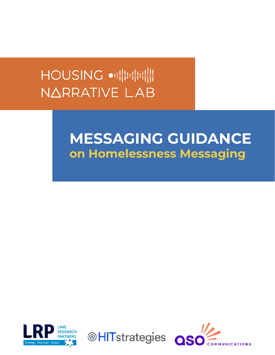# NARRATIVE LAB

## MESSAGING GUIDANCE on Homelessness Messaging



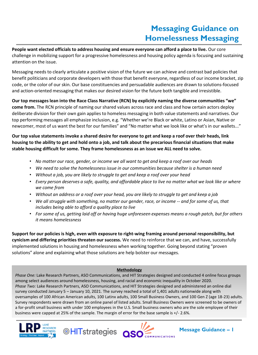## **Messaging Guidance on Homelessness Messaging**

**People want elected officials to address housing and ensure everyone can afford a place to live.** Our core challenge in mobilizing support for a progressive homelessness and housing policy agenda is focusing and sustaining attention on the issue.

Messaging needs to clearly articulate a positive vision of the future we can achieve and contrast bad policies that benefit politicians and corporate developers with those that benefit everyone, regardless of our income bracket, zip code, or the color of our skin. Our base constituencies and persuadable audiences are drawn to solutions-focused and action-oriented messaging that makes our desired vision for the future both tangible and irresistible.

**Our top messages lean into the Race Class Narrative (RCN) by explicitly naming the diverse communities "we" come from.** The RCN principle of naming our shared values across race and class and how certain actors deploy deliberate division for their own gain applies to homeless messaging in both value statements and narratives. Our top performing messages all emphasize inclusion, e.g. "Whether we're Black or white, Latino or Asian, Native or newcomer, most of us want the best for our families" and "No matter what we look like or what's in our wallets..."

**Our top value statements invoke a shared desire for everyone to get and keep a roof over their heads, link housing to the ability to get and hold onto a job, and talk about the precarious financial situations that make stable housing difficult for some. They frame homelessness as an issue we ALL need to solve.**

- *No matter our race, gender, or income we all want to get and keep a roof over our heads*
- *We need to solve the homelessness issue in our communities because shelter is a human need*
- *Without a job, you are likely to struggle to get and keep a roof over your head*
- *Every person deserves a safe, quality, and affordable place to live no matter what we look like or where we come from*
- *Without an address or a roof over your head, you are likely to struggle to get and keep a job*
- *We all struggle with something, no matter our gender, race, or income -- and for some of us, that includes being able to afford a quality place to live*
- *For some of us, getting laid off or having huge unforeseen expenses means a rough patch, but for others it means homelessness*

**Support for our policies is high, even with exposure to right-wing framing around personal responsibility, but cynicism and differing priorities threaten our success.** We need to reinforce that we can, and have, successfully implemented solutions in housing and homelessness when working together. Going beyond stating "proven solutions" alone and explaining what those solutions are help bolster our messages.

#### **Methodology**

*Phase One:* Lake Research Partners, ASO Communications, and HIT Strategies designed and conducted 4 online focus groups among select audiences around homelessness, housing, and racial and economic inequality in October 2020. *Phase Two:* Lake Research Partners, ASO Communications, and HIT Strategies designed and administered an online dial survey conducted January 5 – January 10, 2021. The survey reached a total of 1,401 adults nationwide along with oversamples of 100 African American adults, 100 Latinx adults, 100 Small Business Owners, and 100 Gen Z (age 18-23) adults. Survey respondents were drawn from an online panel of listed adults. Small Business Owners were screened to be owners of a for-profit small business with under 100 employees in the U.S. Small business owners who are the sole employee of their business were capped at 25% of the sample. The margin of error for the base sample is +/- 2.6%.





**Message Guidance – 1**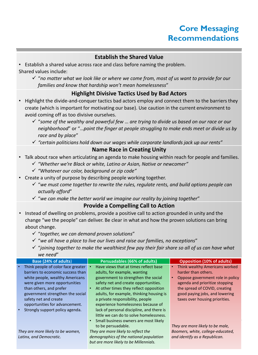### **Core Messaging Recommendations**

#### **Establish the Shared Value**

• Establish a shared value across race and class before naming the problem. Shared values include:

✓ "*no matter what we look like or where we come from, most of us want to provide for our families and know that hardship won't mean homelessness*"

#### **Highlight Divisive Tactics Used by Bad Actors**

- Highlight the divide-and-conquer tactics bad actors employ and connect them to the barriers they create (which is important for motivating our base). Use caution in the current environment to avoid coming off as too divisive ourselves.
	- ✓ "*some of the wealthy and powerful few* … *are trying to divide us based on our race or our neighborhood*" or "…*point the finger at people struggling to make ends meet or divide us by race and by place*"
	- ✓ *"certain politicians hold down our wages while corporate landlords jack up our rents"*

#### **Name Race in Creating Unity**

- Talk about race when articulating an agenda to make housing within reach for people and families.
	- ✓ *"Whether we're Black or white, Latino or Asian, Native or newcomer"*
	- ✓ *"Whatever our color, background or zip code"*
- Create a unity of purpose by describing people working together.
	- ✓ "*we must come together to rewrite the rules, regulate rents, and build options people can actually afford*"
	- ✓ "*we can make the better world we imagine our reality by joining together*"

#### **Provide a Compelling Call to Action**

- Instead of dwelling on problems, provide a positive call to action grounded in unity and the change "we the people" can deliver. Be clear in what and how the proven solutions can bring about change.
	- ✓ "*together, we can demand proven solutions*"
	- ✓ "*we all have a place to live our lives and raise our families, no exceptions*"
	- ✓ "*joining together to make the wealthiest few pay their fair share so all of us can have what we need*"

| Base (24% of adults)                         | Persuadables (66% of adults)                        | <b>Opposition (10% of adults)</b>             |  |
|----------------------------------------------|-----------------------------------------------------|-----------------------------------------------|--|
| Think people of color face greater           | Have views that at times reflect base               | Think wealthy Americans worked<br>$\bullet$   |  |
| barriers to economic success than            | adults, for example, wanting                        | harder than others.                           |  |
| white people, wealthy Americans              | government to strengthen the social                 | Oppose government role in policy<br>$\bullet$ |  |
| were given more opportunities                | safety net and create opportunities.                | agenda and prioritize stopping                |  |
| than others, and prefer                      | At other times they reflect opposition<br>$\bullet$ | the spread of COVID, creating                 |  |
| government strengthen the social             | adults, for example, thinking housing is            | good paying jobs, and lowering                |  |
| safety net and create                        | a private responsibility, people                    | taxes over housing priorities.                |  |
| opportunities for advancement.               | experience homelessness because of                  |                                               |  |
| Strongly support policy agenda.<br>$\bullet$ | lack of personal discipline, and there is           |                                               |  |
|                                              | little we can do to solve homelessness.             |                                               |  |
|                                              | Small business owners are most likely<br>$\bullet$  |                                               |  |
|                                              | to be persuadable.                                  | They are more likely to be male,              |  |
| They are more likely to be women,            | They are more likely to reflect the                 | Boomers, white, college-educated,             |  |
| Latinx, and Democratic.                      | demographics of the national population             | and identify as a Republican.                 |  |
|                                              | but are more likely to be Millennials.              |                                               |  |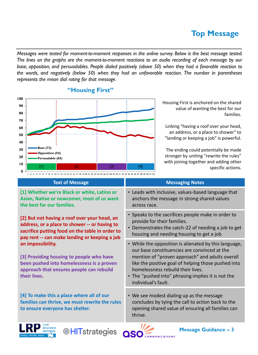## **Top Message**

*Messages were tested for moment-to-moment responses in the online survey. Below is the best message tested.* The lines on the graphs are the moment-to-moment reactions to an audio recording of each message by our *base, opposition, and persuadables. People dialed positively (above 50) when they had a favorable reaction to the words, and negatively (below 50) when they had an unfavorable reaction. The number in parentheses represents the mean dial rating for that message.*



#### **"Housing First"**

Housing First is anchored on the shared value of wanting the best for our families.

Linking "having a roof over your head, an address, or a place to shower" to "landing or keeping a job" is powerful.

The ending could potentially be made stronger by uniting "rewrite the rules" with joining together and adding other specific actions.

| <b>Text of Message</b>                                                                                                                                                                            | <b>Messaging Notes</b>                                                                                                                                                                                                                                                                                                            |
|---------------------------------------------------------------------------------------------------------------------------------------------------------------------------------------------------|-----------------------------------------------------------------------------------------------------------------------------------------------------------------------------------------------------------------------------------------------------------------------------------------------------------------------------------|
| [1] Whether we're Black or white, Latino or<br>Asian, Native or newcomer, most of us want<br>the best for our families.                                                                           | • Leads with inclusive, values-based language that<br>anchors the message in strong shared values<br>across race.                                                                                                                                                                                                                 |
| [2] But not having a roof over your head, an<br>address, or a place to shower -- or having to<br>sacrifice putting food on the table in order to<br>pay rent -- can make landing or keeping a job | • Speaks to the sacrifices people make in order to<br>provide for their families.<br>Demonstrates the catch-22 of needing a job to get<br>$\bullet$<br>housing and needing housing to get a job                                                                                                                                   |
| an impossibility.<br>[3] Providing housing to people who have<br>been pushed into homelessness is a proven<br>approach that ensures people can rebuild<br>their lives.                            | • While the opposition is alienated by this language,<br>our base constituencies are convinced at the<br>mention of "proven approach" and adults overall<br>like the positive goal of helping those pushed into<br>homelessness rebuild their lives.<br>• The "pushed into" phrasing implies it is not the<br>individual's fault. |
| [4] To make this a place where all of our<br>families can thrive, we must rewrite the rules<br>to ensure everyone has shelter.                                                                    | • We see modest dialing up as the message<br>concludes by tying the call to action back to the<br>opening shared value of ensuring all families can<br>thrive.                                                                                                                                                                    |
| LAKE                                                                                                                                                                                              | 77 ≱                                                                                                                                                                                                                                                                                                                              |





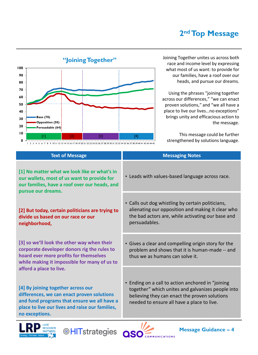## **2 ndTop Message**



race and income level by expressing what most of us want: to provide for our families, have a roof over our heads, and pursue our dreams.

Using the phrases "joining together across our differences," "we can enact proven solutions," and "we all have a place to live our lives…no exceptions" brings unity and efficacious action to the message.

This message could be further strengthened by solutions language.

| <b>Text of Message</b>                                                                                                                                                                                                          | <b>Messaging Notes</b>                                                                                                                                                                                |
|---------------------------------------------------------------------------------------------------------------------------------------------------------------------------------------------------------------------------------|-------------------------------------------------------------------------------------------------------------------------------------------------------------------------------------------------------|
| [1] No matter what we look like or what's in<br>our wallets, most of us want to provide for<br>our families, have a roof over our heads, and<br>pursue our dreams.                                                              | • Leads with values-based language across race.                                                                                                                                                       |
| [2] But today, certain politicians are trying to<br>divide us based on our race or our<br>neighborhood,                                                                                                                         | • Calls out dog whistling by certain politicians,<br>alienating our opposition and making it clear who<br>the bad actors are, while activating our base and<br>persuadables.                          |
| [3] so we'll look the other way when their<br>corporate developer donors rig the rules to<br>hoard ever more profits for themselves<br>while making it impossible for many of us to                                             | • Gives a clear and compelling origin story for the<br>problem and shows that it is human-made -- and<br>thus we as humans can solve it.                                                              |
| afford a place to live.<br>[4] By joining together across our<br>differences, we can enact proven solutions<br>and fund programs that ensure we all have a<br>place to live our lives and raise our families,<br>no exceptions. | • Ending on a call to action anchored in "joining<br>together" which unites and galvanizes people into<br>believing they can enact the proven solutions<br>needed to ensure all have a place to live. |
| $\blacksquare$                                                                                                                                                                                                                  | ,,                                                                                                                                                                                                    |





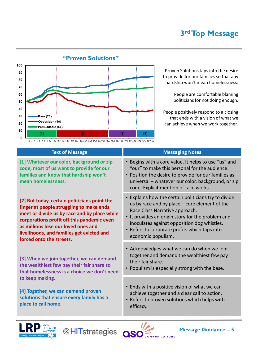

Proven Solutions taps into the desire to provide for our families so that any hardship won't mean homelessness.

> People are comfortable blaming politicians for not doing enough.

People positively respond to a closing that ends with a vision of what we can achieve when we work together.

| <b>Text of Message</b>                                                                                                                                                                                                                                                                                 | <b>Messaging Notes</b>                                                                                                                                                                                                                                                                                               |
|--------------------------------------------------------------------------------------------------------------------------------------------------------------------------------------------------------------------------------------------------------------------------------------------------------|----------------------------------------------------------------------------------------------------------------------------------------------------------------------------------------------------------------------------------------------------------------------------------------------------------------------|
| [1] Whatever our color, background or zip<br>code, most of us want to provide for our<br>families and know that hardship won't<br>mean homelessness.                                                                                                                                                   | • Begins with a core value. It helps to use "us" and<br>"our" to make this personal for the audience.<br>• Position the desire to provide for our families as<br>universal - whatever our color, background, or zip<br>code. Explicit mention of race works.                                                         |
| [2] But today, certain politicians point the<br>finger at people struggling to make ends<br>meet or divide us by race and by place while<br>corporations profit off this pandemic even<br>as millions lose our loved ones and<br>livelihoods, and families get evicted and<br>forced onto the streets. | • Explains how the certain politicians try to divide<br>us by race and by place $-$ core element of the<br>Race Class Narrative approach.<br>• It provides an origin story for the problem and<br>inoculates against opposition dog whistles.<br>• Refers to corporate profits which taps into<br>economic populism. |
| [3] When we join together, we can demand<br>the wealthiest few pay their fair share so<br>that homelessness is a choice we don't need                                                                                                                                                                  | • Acknowledges what we can do when we join<br>together and demand the wealthiest few pay<br>their fair share.<br>• Populism is especially strong with the base.                                                                                                                                                      |
| to keep making.<br>[4] Together, we can demand proven<br>solutions that ensure every family has a<br>place to call home.                                                                                                                                                                               | • Ends with a positive vision of what we can<br>achieve together and a clear call to action.<br>• Refers to proven solutions which helps with<br>efficacy.                                                                                                                                                           |